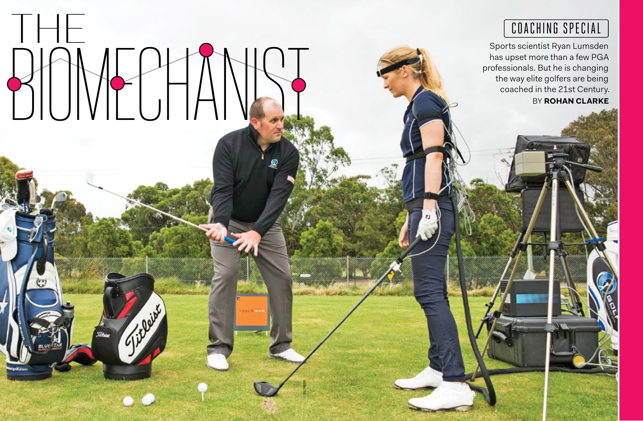

## COACHING SPECIAL

BY **ROHAN CLARKE** Sports scientist Ryan Lumsden has upset more than a few PGA professionals. But he is changing the way elite golfers are being coached in the 21st Century.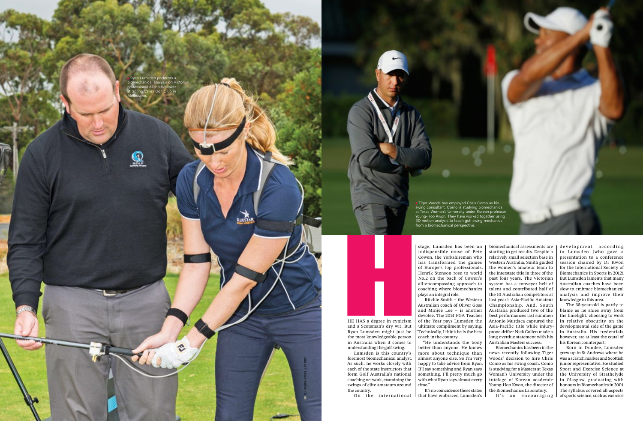kylie thomson • opposite: getty images

**UESTI** 

He has a degree in cynicism and a Scotsman's dry wit. But Ryan Lumsden might just be the most knowledgeable person in Australia when it comes to understanding the golf swing.

Lumsden is this country's foremost biomechanical analyst. As such, he works closely with each of the state instructors that form Golf Australia's national coaching network, examining the swings of elite amateurs around the country.

On the international

stage, Lumsden has been an indispensible muse of Pete Cowen, the Yorkshireman who has transformed the games of Europe's top professionals. Henrik Stenson rose to world No.2 on the back of Cowen's all-encompassing approach to coaching where biomechanics

plays an integral role. Ritchie Smith – the Western Australian coach of Oliver Goss and Minjee Lee – is another devotee. The 2014 PGA Teacher of the Year pays Lumsden the ultimate compliment by saying: "Technically, I think he is the best coach in the country.

biomechanical assessments are | development according starting to get results. Despite a relatively small selection base in Western Australia, Smith guided the women's amateur team to the Interstate title in three of the past four years. The Victorian system has a conveyer belt of talent and contributed half of the 10 Australian competitors at last year's Asia-Pacific Amateur Championship. And, South Australia produced two of the best performances last summer: Antonio Murdaca captured the Asia-Pacific title while injuryprone drifter Nick Cullen made a long overdue statement with his Australian Masters success.

"He understands the body better than anyone. He knows more about technique than almost anyone else. So I'm very happy to take advice from Ryan. If I say something and Ryan says something, I'll pretty much go with what Ryan says almost every time."

It's no coincidence those states that have embraced Lumsden's

Biomechanics has been in the news recently following Tiger Woods' decision to hire Chris Como as his swing coach. Como is studying for a Masters at Texas Woman's University under the tutelage of Korean academic Young-Hoo Kwon, the director of the Biomechanics Laboratory.

It's an encouraging

to Lumsden (who gave a presentation to a conference session chaired by Dr Kwon for the International Society of Biomechanics in Sports in 2012). But Lumsden laments that many Australian coaches have been slow to embrace biomechanical analysis and improve their knowledge in this area.

The 35-year-old is partly to blame as he shies away from the limelight, choosing to work in relative obscurity on the developmental side of the game in Australia. His credentials, however, are at least the equal of his Korean counterpart.

Born in Dundee, Lumsden grew up in St Andrews where he was a scratch marker and Scottish junior representative. He studied Sport and Exercise Science at the University of Strathclyde in Glasgow, graduating with honours in Biomechanics in 2001. The syllabus covered all aspects of sports science, such as exercise

 Ryan Lumsden performs a biomechanical analysis on Victorian professional Alison Whitaker Golf Club in Melbourne.

 $\mathbf{\Omega}$ 

**72 australian in the community of the community of the community of the community of the community of the community of the community of the community of the community of the community of the community of the community o** 

 Tiger Woods has employed Chris Como as his swing consultant. Como is studying biomechanics at Texas Woman's University under Korean professor Young-Hoo Kwon. They have worked together using 3D motion analysis to teach golf swing mechanics from a biomechanical perspective.

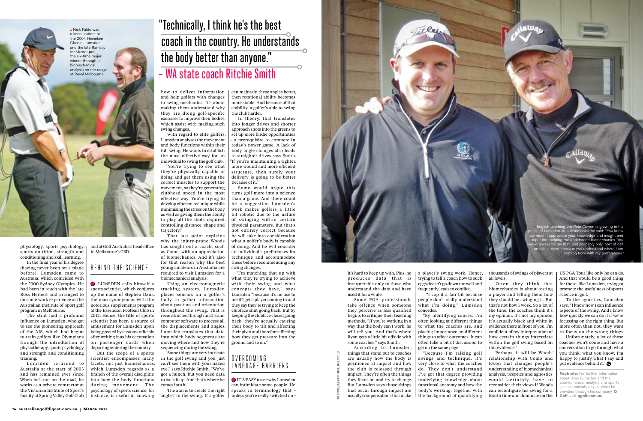opppsite: news corp • above: image supplied

physiology, sports psychology, sports nutrition, strength and conditioning and skill learning.

In the final year of his degree (having never been on a plane before), Lumsden came to Australia, which coincided with the 2000 Sydney Olympics. He had been in touch with the late Ross Herbert and arranged to do some work experience at the Australian Institute of Sport golf program in Melbourne.

Lumsden returned to Australia at the start of 2003 and has remained ever since. When he's not on the road, he works as a private contractor at the Victorian Institute of Sport's facility at Spring Valley Golf Club

The stint had a profound influence on Lumsden, who got to see the pioneering approach of the AIS, which had begun to train golfers like Olympians through the introduction of physiotherapy, sports psychology and strength and conditioning training.

and at Golf Australia's head office in Melbourne's CBD.

### BEHIND THE SCIENCE

 LUMSDEN calls himself a sports scientist, which conjures up the name of Stephen Dank, the man synonymous with the notorious supplements program at the Essendon Football Club in 2012. Hence, the title of sports scientist has been a source of amusement for Lumsden upon being greeted by customs officials after writing it as his occupation on passenger cards when departing/entering the country.

But the scope of a sports scientist encompasses many facets, not just biomechanics, which Lumsden regards as a branch of the overall discipline into how the body functions during movement. The psychology of sports science, for instance, is useful in knowing

how to deliver information and help golfers with changes to swing mechanics. It's about making them understand why they are doing golf-specific exercises to improve their bodies, which assist with making such swing changes.

With regard to elite golfers, Lumsden analyses the movement and body functions within their full swing. He wants to establish the most effective way for an individual to swing the golf club.

"You're trying to see what they're physically capable of doing and get them using the correct muscles to support the movement, so they're generating clubhead speed in the most effective way. You're trying to develop efficient technique while minimising the stress on the body as well as giving them the ability to play all the shots required, controlling distance, shape and trajectory."

That last point explains why the injury-prone Woods has sought out a coach, such as Como, with an appreciation of biomechanics. And it's also for that reason why the best young amateurs in Australia are required to visit Lumsden for a biomechanical analysis.

Using an electromagnetic tracking system, Lumsden places sensors on a golfer's body to gather information about position and orientation throughout the swing. That is reconstructed through maths and computer software to process all the displacements and angles. Lumsden translates that data into which body segments are moving where and how they're sequencing during the swing.

"Some things are very intricate in the golf swing and you just can't see them with your naked eye," says Ritchie Smith. "We've got a hunch, but you need data to back it up. And that's where he comes into it."

The aim is to create the right 'angles' in the swing. If a golfer can maintain these angles better, then rotational ability becomes more stable. And because of that stability, a golfer's able to swing the club harder.

> To the agnostics, Lumsden says: "I know how I can influence aspects of the swing. And I know how quickly we can do it if we're focussing on the right thing. But more often than not, they want to focus on the wrong things . . . Unfortunately, a lot of these coaches won't come and have a conversation to go through what you think, what you know. I'm happy to justify what I say and put evidence behind it." **O**

In theory, that translates into longer drives and shorter approach shots into the greens to set up more birdie opportunities – a prerequisite to compete in today's power game. A lack of body angle changes also leads to straighter drives says Smith. "If you're maintaining a tighter, more wound and more efficient structure, then surely your delivery is going to be better because of it." Some would argue this

turns golf more into a science than a game. And there could be a suggestion Lumsden's work makes golfers a little bit robotic due to the nature of swinging within certain physical parameters. But that's not entirely correct because he will take into consideration what a golfer's body is capable of doing. And he will consider an individual's preferences for technique and accommodate these before recommending any

swing changes.

"I'm matching that up with what they're trying to achieve with their swing and what concepts they have," says Lumsden "because it's no use to me if I get a player coming in and they say they're trying to keep the clubface shut going back. But by keeping the clubface closed going back, they're actually causing their body to tilt and affecting their pivot and therefore affecting how they get pressure into the ground and so on."

#### O V E R C O MIN G LANGUAGE BARRIERS

 It's easy to see why Lumsden can intimidate some people. He speaks in terminology that – unless you're really switched on –



it's hard to keep up with. Plus, he produces data that is interpretable only to those who understand the data and have used it for a while.

Some PGA professionals take offence when someone they perceive as less qualified begins to critique their teaching methods. "If you're working in a way that the body can't work, he will tell you. And that's where Ryan gets a little bit offside with some coaches," says Smith.

According to Lumsden, things that stand out to coaches are usually how the body is positioned at impact and how the club is released through impact. They're often the things they focus on and try to change. But Lumsden says those things that occur through impact are usually compensations that make a player's swing work. Hence, trying to tell a coach how to suck eggs doesn't go down too well and frequently leads to conflict.

 "I cop it a fair bit because people don't really understand what I'm doing," Lumsden concedes.

"By identifying causes, I'm often looking at different things to what the coaches are, and placing importance on different things to affect outcomes. It can often take a bit of discussion to get on the same page.

"Because I'm talking golf swings and technique, it's very close to what the coaches do. They don't understand I've got that degree providing underlying knowledge about functional anatomy and how the body's working, together with the background of quantifying all levels.

"Often they think that biomechanics is about testing a player and telling them how they should be swinging it. But that's not how I work. So a lot of the time, the coaches think it's my opinion. It's not my opinion, it's actually black and white in evidence there in front of you. I'm confident of my interpretation of how certain things interrelate within the golf swing based on this evidence."

thousands of swings of players at US PGA Tour like only he can do. And that would be a good thing for those, like Lumsden, trying to promote the usefulness of sports science in golf.

Perhaps, it will be Woods' relationship with Como and Kwon that changes people's understanding of biomechanical analysis. Sceptics and agnostics would certainly have to reconsider their views if Woods can reconfigure his swing for a fourth time and dominate on the

**Footnote:** For further information about Ryan Lumsden and the biomechanical analysis and sports science consultancy services he provides through his company, **Q Golf**, visit **[qgolf.com.au](http://www.qgolf.com.au/)**

 English teaching pro Pete Cowen is glowing in his praise of Lumsden. In a testimonial, he said: "You know te vour knowledge and insight and me understand biomechanics. You  $\nu$ ays be my first, and probably only, port of call ect because you understand where I am coming from with my preferences."

## "Technically, I think he's the best coach in the country. He understands the body better than anyone." – WA state coach Ritchie Smith

a keen student at the 2004 Heineken Classic. Lumsden and the late Ramsay McMaster put the six-time major winner through a biomechanical analysis on the range at Royal Melbourne.

▲ Nick Faldo was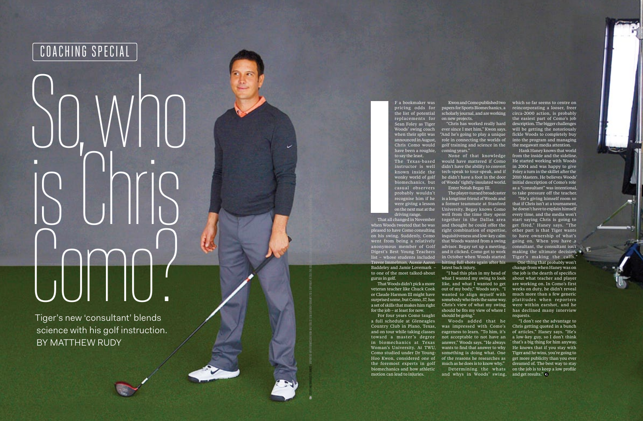## So, who is China<br>is China<br>is China Como?

Tiger's new 'consultant' blends science with his golf instruction. BY MATTHEW RUDY

f a bookmaker was pricing odds for the list of potential replacements for Sean Foley as Tiger Woods' swing coach when their split was announced in August, Chris Como would have been a roughie,

to say the least. The Texas-based instructor is well known inside the wonky world of golf biomechanics, but casual observers probably wouldn't recognise him if he were giving a lesson on the next mat at the

driving range.

That all changed in November when Woods tweeted that he was pleased to have Como consulting on his swing. Suddenly, Como went from being a relatively anonymous member of Golf Digest's Best Young Teachers list – whose students included Trevor Immelman, Aussie Aaron Baddeley and Jamie Lovemark – to one of the most talked-about gurus in golf.

That Woods didn't pick a more veteran teacher like Chuck Cook or Claude Harmon III might have surprised some, but Como, 37, has a set of skills that makes him right for the job – at least for now.

Scott Halleran/Getty images • Reprinted with permission from Golf Digest (USA Edition) february 2015. Copyright © 2015 The Golf Digest Companies, which is a subsidiary of Advance Publications, Inc. Advance Publications, In

was impressed with Como's Chris getting quoted in a bunch "I don't see the advantage to of articles," Haney says. "He's a low-key guy, so I don't think that's a big thing for him anyway. He knows that if you stay with Tiger and he wins, you're going to get more publicity than you ever dreamed of. The best way to stay on the job is to keep a low profile

For four years Como taught a full schedule at Gleneagles Country Club in Plano, Texas, and on tour while taking classes toward a master 's degree in biomechanics at Texas Woman's University. At TWU, Como studied under Dr Young-Hoo Kwon, considered one of the foremost experts in golf biomechanics and how athletic motion can lead to injuries.

Woods added that he eagerness to learn. "To him, it's not acceptable to not have an answer," Woods says. "He always wants to find that answer to why something is doing what. One of the reasons he researches as much as he does is to know why." Determining the whats

papers for Sports Biomechanics, a scholarly journal, and are working on new projects.

"Chris has worked really hard ever since I met him," Kwon says. "And he's going to play a unique role in connecting the worlds of golf training and science in the coming years."

> "He's giving himself room so that if Chris isn't at a tournament, he doesn't have to explain himself every time, and the media won't start saying Chris is going to get fired," Haney says. "The other part is that Tiger wants to have ownership of what's going on. When you have a consultant, the consultant isn't making the ultimate decision. Tiger's making the calls."

None of that knowledge would have mattered if Como didn't have the ability to convert tech-speak to tour-speak, and if he didn't have a foot in the door

of Woods' tightly-insulated world. Enter Notah Begay III. The player-turned broadcaster is a longtime friend of Woods and a former teammate at Stanford

University. Begay knows Como well from the time they spent together in the Dallas area and thought he could offer the right combination of expertise, inquisitiveness and low-key calm that Woods wanted from a swing advisor. Begay set up a meeting, and it clicked. Como got to work in October when Woods started hitting full shots again after his latest back injury.

Kwon and Como published two which so far seems to centre on reincorporating a looser, freer circa-2000 action, is probably the easiest part of Como's job description. The bigger challenges will be getting the notoriously fickle Woods to completely buy into the program and managing the megawatt media attention.

"I had this plan in my head of

what I wanted my swing to look like, and what I wanted to get out of my body," Woods says. "I wanted to align myself with somebody who feels the same way. Chris's view of what my swing should be fits my view of where I should be going."

Hank Haney knows that world from the inside and the sideline. He started working with Woods in 2004 and was happy to give Foley a turn in the skillet after the 2010 Masters. He believes Woods' initial description of Como's role as a "consultant" was intentional, to take pressure off the teacher.

and whys in Woods' swing, and get results."

 One thing that probably won't change from when Haney was on the job is the dearth of specifics about what teacher and player are working on. In Como's first weeks on duty, he didn't reveal much more than a few generic platitudes when reporters were within earshot, and he has declined many interview requests.